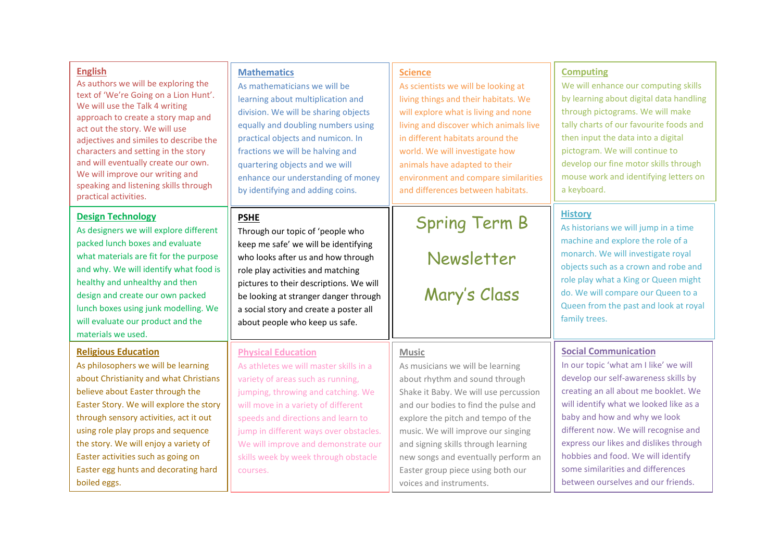| <b>English</b><br>As authors we will be exploring the<br>text of 'We're Going on a Lion Hunt'.<br>We will use the Talk 4 writing<br>approach to create a story map and<br>act out the story. We will use<br>adjectives and similes to describe the<br>characters and setting in the story<br>and will eventually create our own.<br>We will improve our writing and<br>speaking and listening skills through<br>practical activities. | <b>Mathematics</b><br>As mathematicians we will be<br>learning about multiplication and<br>division. We will be sharing objects<br>equally and doubling numbers using<br>practical objects and numicon. In<br>fractions we will be halving and<br>quartering objects and we will<br>enhance our understanding of money<br>by identifying and adding coins.       | <b>Science</b><br>As scientists we will be looking at<br>living things and their habitats. We<br>will explore what is living and none<br>living and discover which animals live<br>in different habitats around the<br>world. We will investigate how<br>animals have adapted to their<br>environment and compare similarities<br>and differences between habitats.                           | <b>Computing</b><br>We will enhance our computing skills<br>by learning about digital data handling<br>through pictograms. We will make<br>tally charts of our favourite foods and<br>then input the data into a digital<br>pictogram. We will continue to<br>develop our fine motor skills through<br>mouse work and identifying letters on<br>a keyboard.                                                                       |
|---------------------------------------------------------------------------------------------------------------------------------------------------------------------------------------------------------------------------------------------------------------------------------------------------------------------------------------------------------------------------------------------------------------------------------------|------------------------------------------------------------------------------------------------------------------------------------------------------------------------------------------------------------------------------------------------------------------------------------------------------------------------------------------------------------------|-----------------------------------------------------------------------------------------------------------------------------------------------------------------------------------------------------------------------------------------------------------------------------------------------------------------------------------------------------------------------------------------------|-----------------------------------------------------------------------------------------------------------------------------------------------------------------------------------------------------------------------------------------------------------------------------------------------------------------------------------------------------------------------------------------------------------------------------------|
| <b>Design Technology</b><br>As designers we will explore different<br>packed lunch boxes and evaluate<br>what materials are fit for the purpose<br>and why. We will identify what food is<br>healthy and unhealthy and then<br>design and create our own packed<br>lunch boxes using junk modelling. We<br>will evaluate our product and the<br>materials we used.                                                                    | <b>PSHE</b><br>Through our topic of 'people who<br>keep me safe' we will be identifying<br>who looks after us and how through<br>role play activities and matching<br>pictures to their descriptions. We will<br>be looking at stranger danger through<br>a social story and create a poster all<br>about people who keep us safe.                               | <b>Spring Term B</b><br>Newsletter<br>Mary's Class                                                                                                                                                                                                                                                                                                                                            | <b>History</b><br>As historians we will jump in a time<br>machine and explore the role of a<br>monarch. We will investigate royal<br>objects such as a crown and robe and<br>role play what a King or Queen might<br>do. We will compare our Queen to a<br>Queen from the past and look at royal<br>family trees.                                                                                                                 |
| <b>Religious Education</b><br>As philosophers we will be learning<br>about Christianity and what Christians<br>believe about Easter through the<br>Easter Story. We will explore the story<br>through sensory activities, act it out<br>using role play props and sequence<br>the story. We will enjoy a variety of<br>Easter activities such as going on<br>Easter egg hunts and decorating hard<br>boiled eggs.                     | <b>Physical Education</b><br>As athletes we will master skills in a<br>variety of areas such as running,<br>jumping, throwing and catching. We<br>will move in a variety of different<br>speeds and directions and learn to<br>jump in different ways over obstacles.<br>We will improve and demonstrate our<br>skills week by week through obstacle<br>courses. | <b>Music</b><br>As musicians we will be learning<br>about rhythm and sound through<br>Shake it Baby. We will use percussion<br>and our bodies to find the pulse and<br>explore the pitch and tempo of the<br>music. We will improve our singing<br>and signing skills through learning<br>new songs and eventually perform an<br>Easter group piece using both our<br>voices and instruments. | <b>Social Communication</b><br>In our topic 'what am I like' we will<br>develop our self-awareness skills by<br>creating an all about me booklet. We<br>will identify what we looked like as a<br>baby and how and why we look<br>different now. We will recognise and<br>express our likes and dislikes through<br>hobbies and food. We will identify<br>some similarities and differences<br>between ourselves and our friends. |